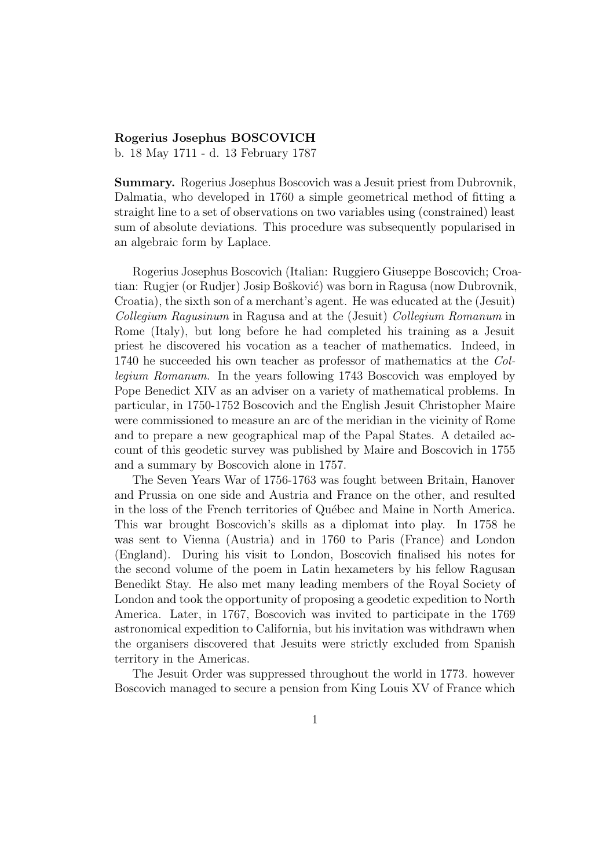## Rogerius Josephus BOSCOVICH

b. 18 May 1711 - d. 13 February 1787

Summary. Rogerius Josephus Boscovich was a Jesuit priest from Dubrovnik, Dalmatia, who developed in 1760 a simple geometrical method of fitting a straight line to a set of observations on two variables using (constrained) least sum of absolute deviations. This procedure was subsequently popularised in an algebraic form by Laplace.

Rogerius Josephus Boscovich (Italian: Ruggiero Giuseppe Boscovich; Croatian: Rugjer (or Rudjer) Josip Bošković) was born in Ragusa (now Dubrovnik, Croatia), the sixth son of a merchant's agent. He was educated at the (Jesuit) *Collegium Ragusinum* in Ragusa and at the (Jesuit) *Collegium Romanum* in Rome (Italy), but long before he had completed his training as a Jesuit priest he discovered his vocation as a teacher of mathematics. Indeed, in 1740 he succeeded his own teacher as professor of mathematics at the *Collegium Romanum*. In the years following 1743 Boscovich was employed by Pope Benedict XIV as an adviser on a variety of mathematical problems. In particular, in 1750-1752 Boscovich and the English Jesuit Christopher Maire were commissioned to measure an arc of the meridian in the vicinity of Rome and to prepare a new geographical map of the Papal States. A detailed account of this geodetic survey was published by Maire and Boscovich in 1755 and a summary by Boscovich alone in 1757.

The Seven Years War of 1756-1763 was fought between Britain, Hanover and Prussia on one side and Austria and France on the other, and resulted in the loss of the French territories of Québec and Maine in North America. This war brought Boscovich's skills as a diplomat into play. In 1758 he was sent to Vienna (Austria) and in 1760 to Paris (France) and London (England). During his visit to London, Boscovich finalised his notes for the second volume of the poem in Latin hexameters by his fellow Ragusan Benedikt Stay. He also met many leading members of the Royal Society of London and took the opportunity of proposing a geodetic expedition to North America. Later, in 1767, Boscovich was invited to participate in the 1769 astronomical expedition to California, but his invitation was withdrawn when the organisers discovered that Jesuits were strictly excluded from Spanish territory in the Americas.

The Jesuit Order was suppressed throughout the world in 1773. however Boscovich managed to secure a pension from King Louis XV of France which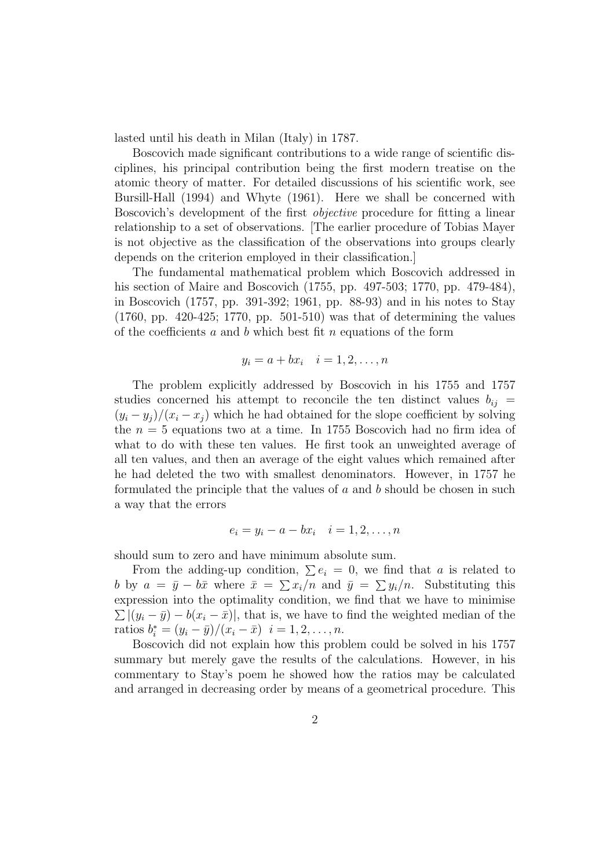lasted until his death in Milan (Italy) in 1787.

Boscovich made significant contributions to a wide range of scientific disciplines, his principal contribution being the first modern treatise on the atomic theory of matter. For detailed discussions of his scientific work, see Bursill-Hall (1994) and Whyte (1961). Here we shall be concerned with Boscovich's development of the first *objective* procedure for fitting a linear relationship to a set of observations. [The earlier procedure of Tobias Mayer is not objective as the classification of the observations into groups clearly depends on the criterion employed in their classification.]

The fundamental mathematical problem which Boscovich addressed in his section of Maire and Boscovich (1755, pp. 497-503; 1770, pp. 479-484), in Boscovich (1757, pp. 391-392; 1961, pp. 88-93) and in his notes to Stay (1760, pp. 420-425; 1770, pp. 501-510) was that of determining the values of the coefficients  $a$  and  $b$  which best fit  $n$  equations of the form

$$
y_i = a + bx_i \quad i = 1, 2, \dots, n
$$

The problem explicitly addressed by Boscovich in his 1755 and 1757 studies concerned his attempt to reconcile the ten distinct values  $b_{ij}$  =  $(y_i - y_j)/(x_i - x_j)$  which he had obtained for the slope coefficient by solving the  $n = 5$  equations two at a time. In 1755 Boscovich had no firm idea of what to do with these ten values. He first took an unweighted average of all ten values, and then an average of the eight values which remained after he had deleted the two with smallest denominators. However, in 1757 he formulated the principle that the values of  $a$  and  $b$  should be chosen in such a way that the errors

$$
e_i = y_i - a - bx_i \quad i = 1, 2, \dots, n
$$

should sum to zero and have minimum absolute sum.

From the adding-up condition,  $\sum e_i = 0$ , we find that a is related to b by  $a = \bar{y} - b\bar{x}$  where  $\bar{x} = \sum x_i/n$  and  $\bar{y} = \sum y_i/n$ . Substituting this expression into the optimality condition, we find that we have to minimise  $\sum |(y_i - \bar{y}) - b(x_i - \bar{x})|$ , that is, we have to find the weighted median of the ratios  $b_i^* = (y_i - \bar{y})/(x_i - \bar{x})$   $i = 1, 2, ..., n$ .

Boscovich did not explain how this problem could be solved in his 1757 summary but merely gave the results of the calculations. However, in his commentary to Stay's poem he showed how the ratios may be calculated and arranged in decreasing order by means of a geometrical procedure. This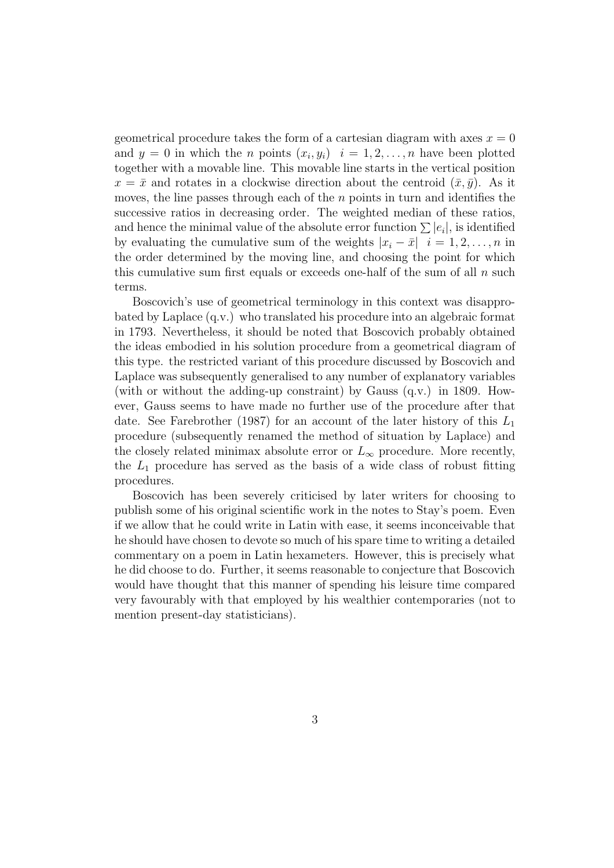geometrical procedure takes the form of a cartesian diagram with axes  $x = 0$ and  $y = 0$  in which the *n* points  $(x_i, y_i)$   $i = 1, 2, ..., n$  have been plotted together with a movable line. This movable line starts in the vertical position  $x = \bar{x}$  and rotates in a clockwise direction about the centroid  $(\bar{x}, \bar{y})$ . As it moves, the line passes through each of the  $n$  points in turn and identifies the successive ratios in decreasing order. The weighted median of these ratios, and hence the minimal value of the absolute error function  $\sum |e_i|$ , is identified by evaluating the cumulative sum of the weights  $|x_i - \bar{x}|$   $i = 1, 2, \ldots, n$  in the order determined by the moving line, and choosing the point for which this cumulative sum first equals or exceeds one-half of the sum of all  $n$  such terms.

Boscovich's use of geometrical terminology in this context was disapprobated by Laplace (q.v.) who translated his procedure into an algebraic format in 1793. Nevertheless, it should be noted that Boscovich probably obtained the ideas embodied in his solution procedure from a geometrical diagram of this type. the restricted variant of this procedure discussed by Boscovich and Laplace was subsequently generalised to any number of explanatory variables (with or without the adding-up constraint) by Gauss (q.v.) in 1809. However, Gauss seems to have made no further use of the procedure after that date. See Farebrother (1987) for an account of the later history of this  $L_1$ procedure (subsequently renamed the method of situation by Laplace) and the closely related minimax absolute error or  $L_{\infty}$  procedure. More recently, the  $L_1$  procedure has served as the basis of a wide class of robust fitting procedures.

Boscovich has been severely criticised by later writers for choosing to publish some of his original scientific work in the notes to Stay's poem. Even if we allow that he could write in Latin with ease, it seems inconceivable that he should have chosen to devote so much of his spare time to writing a detailed commentary on a poem in Latin hexameters. However, this is precisely what he did choose to do. Further, it seems reasonable to conjecture that Boscovich would have thought that this manner of spending his leisure time compared very favourably with that employed by his wealthier contemporaries (not to mention present-day statisticians).